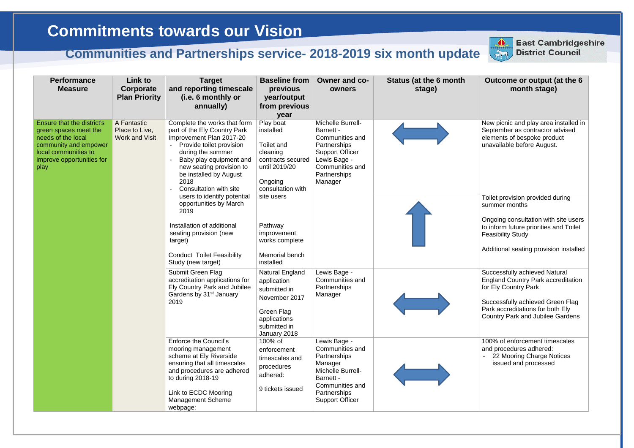## **Outcome or output (at the 6 month stage)**

New picnic and play area installed in September as contractor advised elements of bespoke product unavailable before August.

| <b>Performance</b><br><b>Measure</b>                                                                                                                            | Link to<br>Corporate<br><b>Plan Priority</b>           | <b>Target</b><br>and reporting timescale<br>(i.e. 6 monthly or<br>annually)                                                                                                                                                                                                                                                                                                                                                                                                      | <b>Baseline from</b><br>previous<br>year/output<br>from previous<br>year                                                                    | Owner and co-<br>owners                                                                                                                                   | <b>Status (at the 6 month</b><br>stage) |
|-----------------------------------------------------------------------------------------------------------------------------------------------------------------|--------------------------------------------------------|----------------------------------------------------------------------------------------------------------------------------------------------------------------------------------------------------------------------------------------------------------------------------------------------------------------------------------------------------------------------------------------------------------------------------------------------------------------------------------|---------------------------------------------------------------------------------------------------------------------------------------------|-----------------------------------------------------------------------------------------------------------------------------------------------------------|-----------------------------------------|
| Ensure that the district's<br>green spaces meet the<br>needs of the local<br>community and empower<br>local communities to<br>improve opportunities for<br>play | A Fantastic<br>Place to Live,<br><b>Work and Visit</b> | Complete the works that form<br>Play boat<br>part of the Ely Country Park<br>installed<br>Barnett -<br>Improvement Plan 2017-20<br>Provide toilet provision<br>Toilet and<br>Partnerships<br>$\blacksquare$<br>during the summer<br>cleaning<br>Baby play equipment and<br>Lewis Bage -<br>contracts secured<br>new seating provision to<br>until 2019/20<br>be installed by August<br>Partnerships<br>2018<br>Ongoing<br>Manager<br>Consultation with site<br>consultation with | Michelle Burrell-<br>Communities and<br><b>Support Officer</b><br>Communities and                                                           |                                                                                                                                                           |                                         |
|                                                                                                                                                                 |                                                        | users to identify potential<br>opportunities by March<br>2019<br>Installation of additional<br>seating provision (new<br>target)<br><b>Conduct Toilet Feasibility</b><br>Study (new target)                                                                                                                                                                                                                                                                                      | site users<br>Pathway<br>improvement<br>works complete<br>Memorial bench<br>installed                                                       |                                                                                                                                                           |                                         |
|                                                                                                                                                                 |                                                        | Submit Green Flag<br>accreditation applications for<br>Ely Country Park and Jubilee<br>Gardens by 31 <sup>st</sup> January<br>2019                                                                                                                                                                                                                                                                                                                                               | <b>Natural England</b><br>application<br>submitted in<br>November 2017<br><b>Green Flag</b><br>applications<br>submitted in<br>January 2018 | Lewis Bage -<br>Communities and<br>Partnerships<br>Manager                                                                                                |                                         |
|                                                                                                                                                                 |                                                        | <b>Enforce the Council's</b><br>mooring management<br>scheme at Ely Riverside<br>ensuring that all timescales<br>and procedures are adhered<br>to during 2018-19<br>Link to ECDC Mooring<br><b>Management Scheme</b><br>webpage:                                                                                                                                                                                                                                                 | 100% of<br>enforcement<br>timescales and<br>procedures<br>adhered:<br>9 tickets issued                                                      | Lewis Bage -<br>Communities and<br>Partnerships<br>Manager<br>Michelle Burrell-<br>Barnett -<br>Communities and<br>Partnerships<br><b>Support Officer</b> |                                         |



Toilet provision provided during summer months

Ongoing consultation with site users to inform future priorities and Toilet Feasibility Study

Additional seating provision installed

Successfully achieved Natural England Country Park accreditation for Ely Country Park

Successfully achieved Green Flag Park accreditations for both Ely Country Park and Jubilee Gardens

100% of enforcement timescales and procedures adhered:

- 22 Mooring Charge Notices issued and processed

## **Commitments towards our Vision**

## **Communities and Partnerships service- 2018-2019 six month update**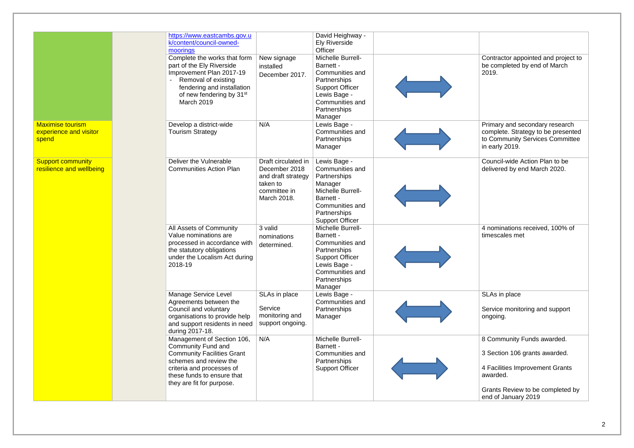| https://www.eastcambs.gov.u<br>k/content/council-owned-<br>moorings                                                                                                               |                                                                                                       | <b>Ely Riverside</b><br>Officer                                                                                                                           |                                        |
|-----------------------------------------------------------------------------------------------------------------------------------------------------------------------------------|-------------------------------------------------------------------------------------------------------|-----------------------------------------------------------------------------------------------------------------------------------------------------------|----------------------------------------|
| part of the Ely Riverside<br>Improvement Plan 2017-19<br>- Removal of existing<br>fendering and installation<br>of new fendering by 31 <sup>st</sup><br>March 2019                | New signage<br>installed<br>December 2017.                                                            | Michelle Burrell-<br>Barnett -<br>Communities and<br>Partnerships<br><b>Support Officer</b><br>Lewis Bage -<br>Communities and<br>Partnerships            |                                        |
| Develop a district-wide<br><b>Tourism Strategy</b>                                                                                                                                | N/A                                                                                                   | Lewis Bage -<br>Communities and<br>Partnerships<br>Manager                                                                                                |                                        |
| Deliver the Vulnerable<br><b>Communities Action Plan</b>                                                                                                                          | Draft circulated in<br>December 2018<br>and draft strategy<br>taken to<br>committee in<br>March 2018. | Lewis Bage -<br>Communities and<br>Partnerships<br>Manager<br>Michelle Burrell-<br>Barnett -<br>Communities and<br>Partnerships<br><b>Support Officer</b> |                                        |
| All Assets of Community<br>Value nominations are<br>the statutory obligations<br>2018-19                                                                                          | 3 valid<br>nominations<br>determined.                                                                 | Michelle Burrell-<br>Barnett -<br>Communities and<br>Partnerships<br><b>Support Officer</b><br>Lewis Bage -<br>Communities and<br>Partnerships            |                                        |
| Manage Service Level<br>Agreements between the<br>Council and voluntary<br>organisations to provide help<br>during 2017-18.                                                       | SLAs in place<br>Service<br>monitoring and<br>support ongoing.                                        | Lewis Bage -<br>Communities and<br>Partnerships<br>Manager                                                                                                |                                        |
| Management of Section 106,<br><b>Community Fund and</b><br><b>Community Facilities Grant</b><br>schemes and review the<br>criteria and processes of<br>these funds to ensure that | N/A                                                                                                   | Michelle Burrell-<br>Barnett -<br>Communities and<br>Partnerships<br><b>Support Officer</b>                                                               |                                        |
|                                                                                                                                                                                   |                                                                                                       | Complete the works that form<br>processed in accordance with<br>under the Localism Act during<br>and support residents in need                            | David Heighway -<br>Manager<br>Manager |

| Contractor appointed and project to<br>be completed by end of March<br>2019.                                              |
|---------------------------------------------------------------------------------------------------------------------------|
| Primary and secondary research<br>complete. Strategy to be presented<br>to Community Services Committee<br>in early 2019. |
| Council-wide Action Plan to be<br>delivered by end March 2020.                                                            |
| 4 nominations received, 100% of<br>timescales met                                                                         |
| SLAs in place                                                                                                             |
| Service monitoring and support<br>ongoing.                                                                                |
| 8 Community Funds awarded.                                                                                                |
| 3 Section 106 grants awarded.                                                                                             |
| 4 Facilities Improvement Grants<br>awarded.                                                                               |
| Grants Review to be completed by<br>end of January 2019                                                                   |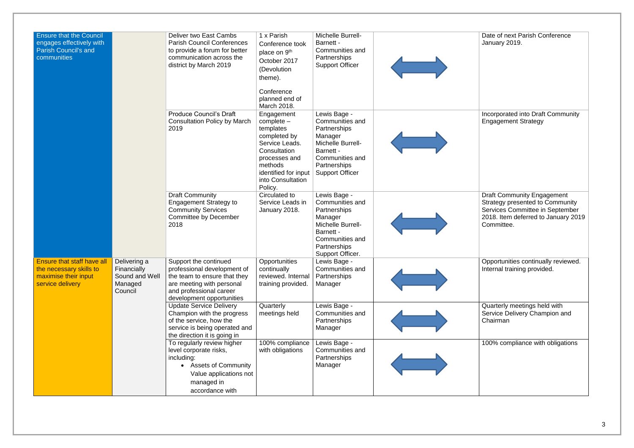| <b>Ensure that the Council</b><br>engages effectively with<br><b>Parish Council's and</b><br>communities |                                                                     | Deliver two East Cambs<br><b>Parish Council Conferences</b><br>to provide a forum for better<br>communication across the<br>district by March 2019                        | 1 x Parish<br>Conference took<br>place on 9 <sup>th</sup><br>October 2017<br>(Devolution<br>theme).<br>Conference<br>planned end of<br>March 2018.                            | Michelle Burrell-<br>Barnett -<br><b>Communities and</b><br>Partnerships<br><b>Support Officer</b>                                                                |  |
|----------------------------------------------------------------------------------------------------------|---------------------------------------------------------------------|---------------------------------------------------------------------------------------------------------------------------------------------------------------------------|-------------------------------------------------------------------------------------------------------------------------------------------------------------------------------|-------------------------------------------------------------------------------------------------------------------------------------------------------------------|--|
|                                                                                                          |                                                                     | <b>Produce Council's Draft</b><br><b>Consultation Policy by March</b><br>2019                                                                                             | Engagement<br>$complete -$<br>templates<br>completed by<br>Service Leads.<br>Consultation<br>processes and<br>methods<br>identified for input<br>into Consultation<br>Policy. | Lewis Bage -<br>Communities and<br>Partnerships<br>Manager<br>Michelle Burrell-<br>Barnett -<br>Communities and<br>Partnerships<br><b>Support Officer</b>         |  |
|                                                                                                          |                                                                     | <b>Draft Community</b><br><b>Engagement Strategy to</b><br><b>Community Services</b><br><b>Committee by December</b><br>2018                                              | Circulated to<br>Service Leads in<br>January 2018.                                                                                                                            | Lewis Bage -<br><b>Communities and</b><br>Partnerships<br>Manager<br>Michelle Burrell-<br>Barnett -<br><b>Communities and</b><br>Partnerships<br>Support Officer. |  |
| <b>Ensure that staff have all</b><br>the necessary skills to<br>maximise their input<br>service delivery | Delivering a<br>Financially<br>Sound and Well<br>Managed<br>Council | Support the continued<br>professional development of<br>the team to ensure that they<br>are meeting with personal<br>and professional career<br>development opportunities | Opportunities<br>continually<br>reviewed. Internal<br>training provided.                                                                                                      | Lewis Bage -<br>Communities and<br>Partnerships<br>Manager                                                                                                        |  |
|                                                                                                          |                                                                     | <b>Update Service Delivery</b><br>Champion with the progress<br>of the service, how the<br>service is being operated and<br>the direction it is going in                  | Quarterly<br>meetings held                                                                                                                                                    | Lewis Bage -<br>Communities and<br>Partnerships<br>Manager                                                                                                        |  |
|                                                                                                          |                                                                     | To regularly review higher<br>level corporate risks,<br>including:<br><b>Assets of Community</b><br>Value applications not<br>managed in<br>accordance with               | 100% compliance<br>with obligations                                                                                                                                           | Lewis Bage -<br>Communities and<br>Partnerships<br>Manager                                                                                                        |  |

| Date of next Parish Conference<br>January 2019.                                                                                                                     |  |
|---------------------------------------------------------------------------------------------------------------------------------------------------------------------|--|
| <b>Incorporated into Draft Community</b><br><b>Engagement Strategy</b>                                                                                              |  |
| <b>Draft Community Engagement</b><br><b>Strategy presented to Community</b><br>Services Committee in September<br>2018. Item deferred to January 2019<br>Committee. |  |
| Opportunities continually reviewed.<br>Internal training provided.                                                                                                  |  |
| Quarterly meetings held with<br>Service Delivery Champion and<br>Chairman                                                                                           |  |
| 100% compliance with obligations                                                                                                                                    |  |